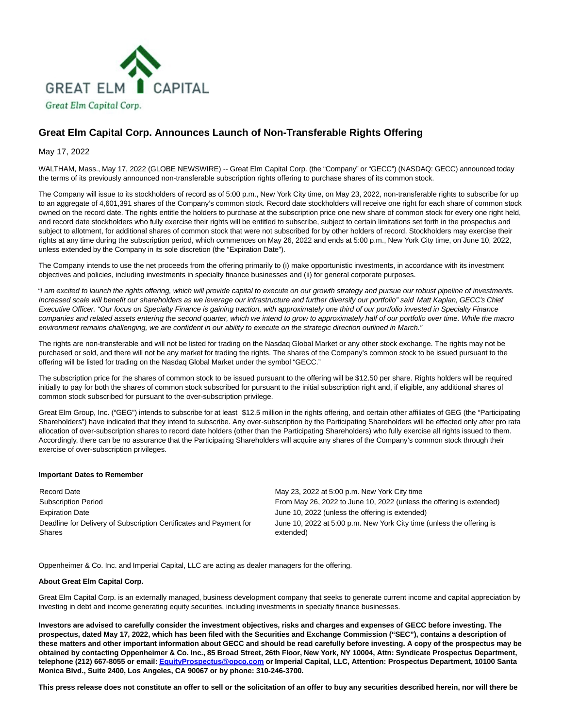

# **Great Elm Capital Corp. Announces Launch of Non-Transferable Rights Offering**

May 17, 2022

WALTHAM, Mass., May 17, 2022 (GLOBE NEWSWIRE) -- Great Elm Capital Corp. (the "Company" or "GECC") (NASDAQ: GECC) announced today the terms of its previously announced non-transferable subscription rights offering to purchase shares of its common stock.

The Company will issue to its stockholders of record as of 5:00 p.m., New York City time, on May 23, 2022, non-transferable rights to subscribe for up to an aggregate of 4,601,391 shares of the Company's common stock. Record date stockholders will receive one right for each share of common stock owned on the record date. The rights entitle the holders to purchase at the subscription price one new share of common stock for every one right held, and record date stockholders who fully exercise their rights will be entitled to subscribe, subject to certain limitations set forth in the prospectus and subject to allotment, for additional shares of common stock that were not subscribed for by other holders of record. Stockholders may exercise their rights at any time during the subscription period, which commences on May 26, 2022 and ends at 5:00 p.m., New York City time, on June 10, 2022, unless extended by the Company in its sole discretion (the "Expiration Date").

The Company intends to use the net proceeds from the offering primarily to (i) make opportunistic investments, in accordance with its investment objectives and policies, including investments in specialty finance businesses and (ii) for general corporate purposes.

"I am excited to launch the rights offering, which will provide capital to execute on our growth strategy and pursue our robust pipeline of investments. Increased scale will benefit our shareholders as we leverage our infrastructure and further diversify our portfolio" said Matt Kaplan, GECC's Chief Executive Officer. "Our focus on Specialty Finance is gaining traction, with approximately one third of our portfolio invested in Specialty Finance companies and related assets entering the second quarter, which we intend to grow to approximately half of our portfolio over time. While the macro environment remains challenging, we are confident in our ability to execute on the strategic direction outlined in March."

The rights are non-transferable and will not be listed for trading on the Nasdaq Global Market or any other stock exchange. The rights may not be purchased or sold, and there will not be any market for trading the rights. The shares of the Company's common stock to be issued pursuant to the offering will be listed for trading on the Nasdaq Global Market under the symbol "GECC."

The subscription price for the shares of common stock to be issued pursuant to the offering will be \$12.50 per share. Rights holders will be required initially to pay for both the shares of common stock subscribed for pursuant to the initial subscription right and, if eligible, any additional shares of common stock subscribed for pursuant to the over-subscription privilege.

Great Elm Group, Inc. ("GEG") intends to subscribe for at least \$12.5 million in the rights offering, and certain other affiliates of GEG (the "Participating Shareholders") have indicated that they intend to subscribe. Any over-subscription by the Participating Shareholders will be effected only after pro rata allocation of over-subscription shares to record date holders (other than the Participating Shareholders) who fully exercise all rights issued to them. Accordingly, there can be no assurance that the Participating Shareholders will acquire any shares of the Company's common stock through their exercise of over-subscription privileges.

## **Important Dates to Remember**

Record Date May 23, 2022 at 5:00 p.m. New York City time Expiration Date **June 10, 2022** (unless the offering is extended) Deadline for Delivery of Subscription Certificates and Payment for Shares

Subscription Period From May 26, 2022 to June 10, 2022 (unless the offering is extended) June 10, 2022 at 5:00 p.m. New York City time (unless the offering is extended)

Oppenheimer & Co. Inc. and Imperial Capital, LLC are acting as dealer managers for the offering.

## **About Great Elm Capital Corp.**

Great Elm Capital Corp. is an externally managed, business development company that seeks to generate current income and capital appreciation by investing in debt and income generating equity securities, including investments in specialty finance businesses.

**Investors are advised to carefully consider the investment objectives, risks and charges and expenses of GECC before investing. The prospectus, dated May 17, 2022, which has been filed with the Securities and Exchange Commission ("SEC"), contains a description of these matters and other important information about GECC and should be read carefully before investing. A copy of the prospectus may be obtained by contacting Oppenheimer & Co. Inc., 85 Broad Street, 26th Floor, New York, NY 10004, Attn: Syndicate Prospectus Department, telephone (212) 667-8055 or email[: EquityProspectus@opco.com o](mailto:EquityProspectus@opco.com)r Imperial Capital, LLC, Attention: Prospectus Department, 10100 Santa Monica Blvd., Suite 2400, Los Angeles, CA 90067 or by phone: 310-246-3700.**

**This press release does not constitute an offer to sell or the solicitation of an offer to buy any securities described herein, nor will there be**